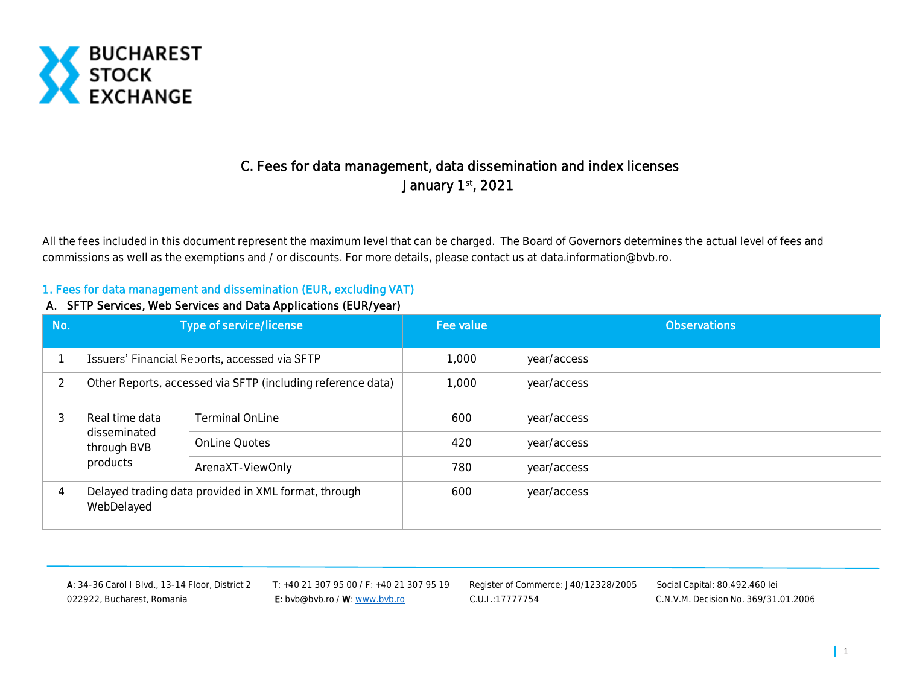

# C. Fees for data management, data dissemination and index licenses January 1st, 2021

All the fees included in this document represent the maximum level that can be charged. The Board of Governors determines the actual level of fees and commissions as well as the exemptions and / or discounts. For more details, please contact us at [data.information@bvb.ro.](mailto:data.information@bvb.ro)

#### 1. Fees for data management and dissemination (EUR, excluding VAT)

#### A. SFTP Services, Web Services and Data Applications (EUR/year)

| No. |                                         | Type of service/license                                     | Fee value | <b>Observations</b> |
|-----|-----------------------------------------|-------------------------------------------------------------|-----------|---------------------|
|     |                                         | Issuers' Financial Reports, accessed via SFTP               | 1,000     | year/access         |
| 2   |                                         | Other Reports, accessed via SFTP (including reference data) | 1,000     | year/access         |
| 3   | Real time data                          | <b>Terminal OnLine</b>                                      | 600       | year/access         |
|     | disseminated<br>through BVB<br>products | <b>OnLine Quotes</b>                                        | 420       | year/access         |
|     |                                         | ArenaXT-ViewOnly                                            | 780       | year/access         |
| 4   | WebDelayed                              | Delayed trading data provided in XML format, through        | 600       | year/access         |

A: 34-36 Carol I Blvd., 13-14 Floor, District 2 T: +40 21 307 95 00 / F: +40 21 307 95 19 Register of Commerce: J40/12328/2005 Social Capital: 80.492.460 lei 022922, Bucharest, Romania **E:** bvb@bvb.ro / W[: www.bvb.ro](http://www.bvb.ro/) C.U.I.:17777754 C.N.V.M. Decision No. 369/31.01.2006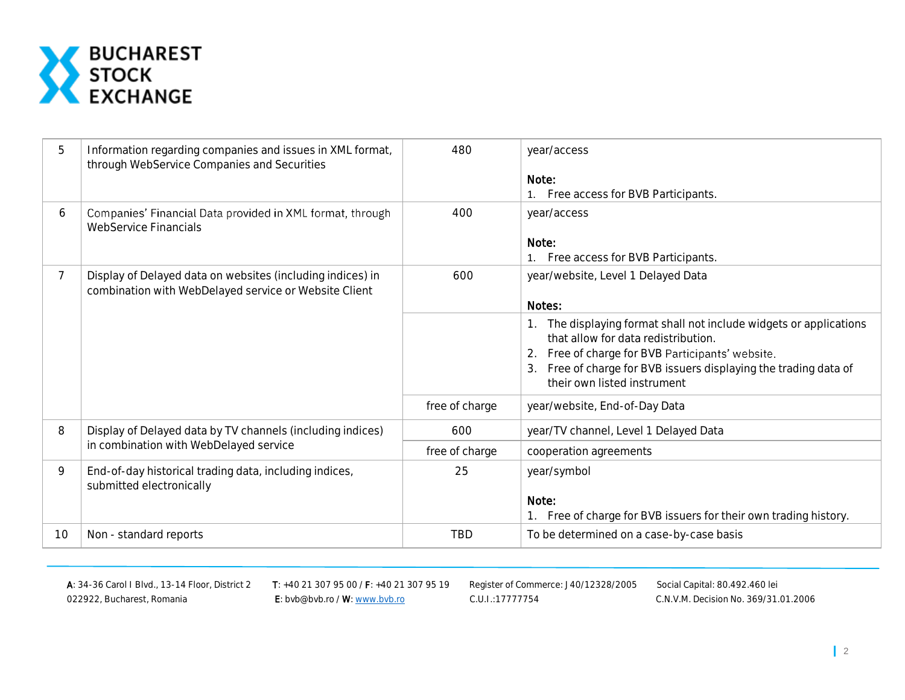

| 5  | Information regarding companies and issues in XML format,<br>through WebService Companies and Securities            | 480            | year/access<br>Note:<br>1. Free access for BVB Participants.                                                                                                                                                                                                     |
|----|---------------------------------------------------------------------------------------------------------------------|----------------|------------------------------------------------------------------------------------------------------------------------------------------------------------------------------------------------------------------------------------------------------------------|
| 6  | Companies' Financial Data provided in XML format, through<br>WebService Financials                                  | 400            | year/access<br>Note:<br>Free access for BVB Participants.<br>1.                                                                                                                                                                                                  |
| 7  | Display of Delayed data on websites (including indices) in<br>combination with WebDelayed service or Website Client | 600            | year/website, Level 1 Delayed Data<br>Notes:                                                                                                                                                                                                                     |
|    |                                                                                                                     |                | 1. The displaying format shall not include widgets or applications<br>that allow for data redistribution.<br>2. Free of charge for BVB Participants' website.<br>3. Free of charge for BVB issuers displaying the trading data of<br>their own listed instrument |
|    |                                                                                                                     | free of charge | year/website, End-of-Day Data                                                                                                                                                                                                                                    |
| 8  | Display of Delayed data by TV channels (including indices)                                                          | 600            | year/TV channel, Level 1 Delayed Data                                                                                                                                                                                                                            |
|    | in combination with WebDelayed service                                                                              | free of charge | cooperation agreements                                                                                                                                                                                                                                           |
| 9  | End-of-day historical trading data, including indices,<br>submitted electronically                                  | 25             | year/symbol<br>Note:<br>1. Free of charge for BVB issuers for their own trading history.                                                                                                                                                                         |
| 10 | Non - standard reports                                                                                              | <b>TBD</b>     | To be determined on a case-by-case basis                                                                                                                                                                                                                         |

A: 34-36 Carol I Blvd., 13-14 Floor, District 2 T: +40 21 307 95 00 / F: +40 21 307 95 19 Register of Commerce: J40/12328/2005 Social Capital: 80.492.460 lei 022922, Bucharest, Romania **E:** bvb@bvb.ro / W[: www.bvb.ro](http://www.bvb.ro/) C.U.I.:17777754 C.N.V.M. Decision No. 369/31.01.2006

Ī r C.U.I.:17777754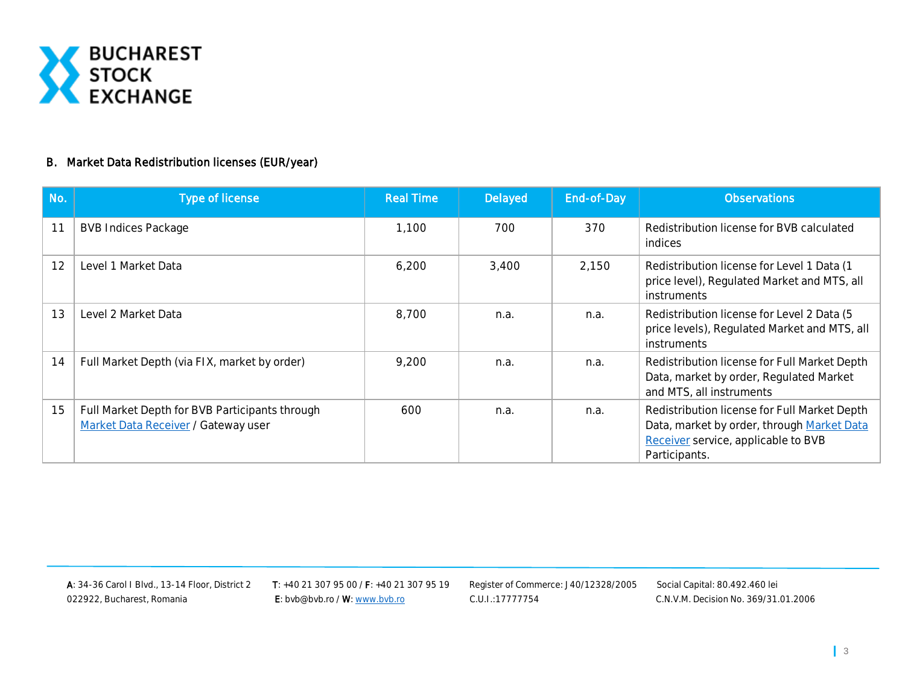

#### B. Market Data Redistribution licenses (EUR/year)

| No. | Type of license                                                                       | <b>Real Time</b> | Delayed | End-of-Day | <b>Observations</b>                                                                                                                                |
|-----|---------------------------------------------------------------------------------------|------------------|---------|------------|----------------------------------------------------------------------------------------------------------------------------------------------------|
| 11  | <b>BVB Indices Package</b>                                                            | 1,100            | 700     | 370        | Redistribution license for BVB calculated<br>indices                                                                                               |
| 12  | Level 1 Market Data                                                                   | 6,200            | 3,400   | 2,150      | Redistribution license for Level 1 Data (1<br>price level), Regulated Market and MTS, all<br>instruments                                           |
| 13  | Level 2 Market Data                                                                   | 8,700            | n.a.    | n.a.       | Redistribution license for Level 2 Data (5<br>price levels), Regulated Market and MTS, all<br>instruments                                          |
| 14  | Full Market Depth (via FIX, market by order)                                          | 9,200            | n.a.    | n.a.       | Redistribution license for Full Market Depth<br>Data, market by order, Regulated Market<br>and MTS, all instruments                                |
| 15  | Full Market Depth for BVB Participants through<br>Market Data Receiver / Gateway user | 600              | n.a.    | n.a.       | Redistribution license for Full Market Depth<br>Data, market by order, through Market Data<br>Receiver service, applicable to BVB<br>Participants. |

022922, Bucharest, Romania **E:** bvb@bvb.ro / W[: www.bvb.ro](http://www.bvb.ro/) C.U.I.:17777754 C.N.V.M. Decision No. 369/31.01.2006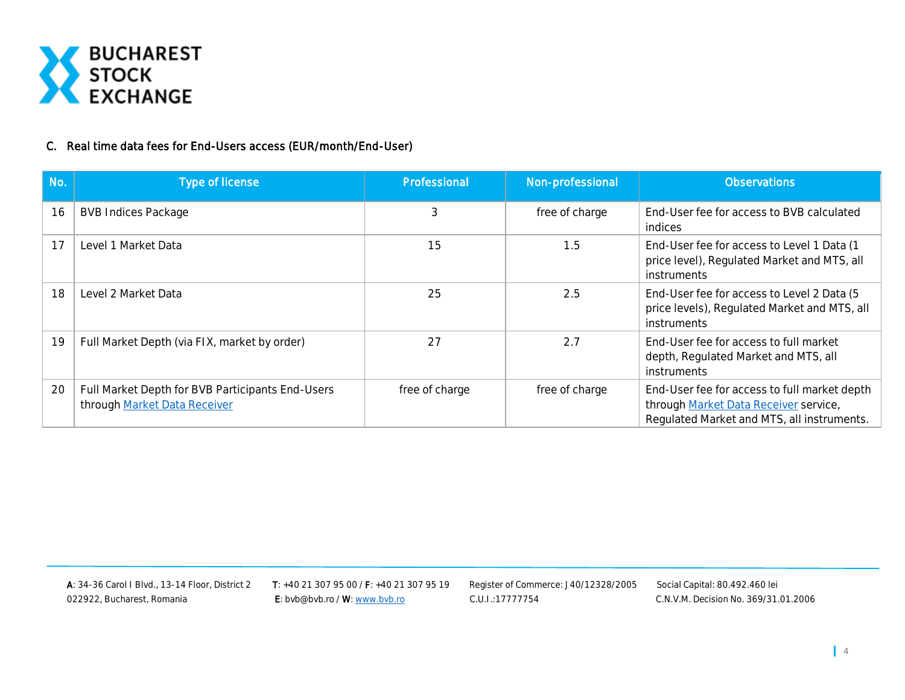

## C. Real time data fees for End-Users access (EUR/month/End-User)

| No. | Type of license                                                                  | Professional   | Non-professional | <b>Observations</b>                                                                                                                 |
|-----|----------------------------------------------------------------------------------|----------------|------------------|-------------------------------------------------------------------------------------------------------------------------------------|
| 16  | <b>BVB Indices Package</b>                                                       | 3              | free of charge   | End-User fee for access to BVB calculated<br>indices                                                                                |
| 17  | Level 1 Market Data                                                              | 15             | 1.5              | End-User fee for access to Level 1 Data (1)<br>price level), Regulated Market and MTS, all<br>instruments                           |
| 18  | Level 2 Market Data                                                              | 25             | 2.5              | End-User fee for access to Level 2 Data (5<br>price levels), Regulated Market and MTS, all<br>instruments                           |
| 19  | Full Market Depth (via FIX, market by order)                                     | 27             | 2.7              | End-User fee for access to full market<br>depth, Regulated Market and MTS, all<br>instruments                                       |
| 20  | Full Market Depth for BVB Participants End-Users<br>through Market Data Receiver | free of charge | free of charge   | End-User fee for access to full market depth<br>through Market Data Receiver service,<br>Regulated Market and MTS, all instruments. |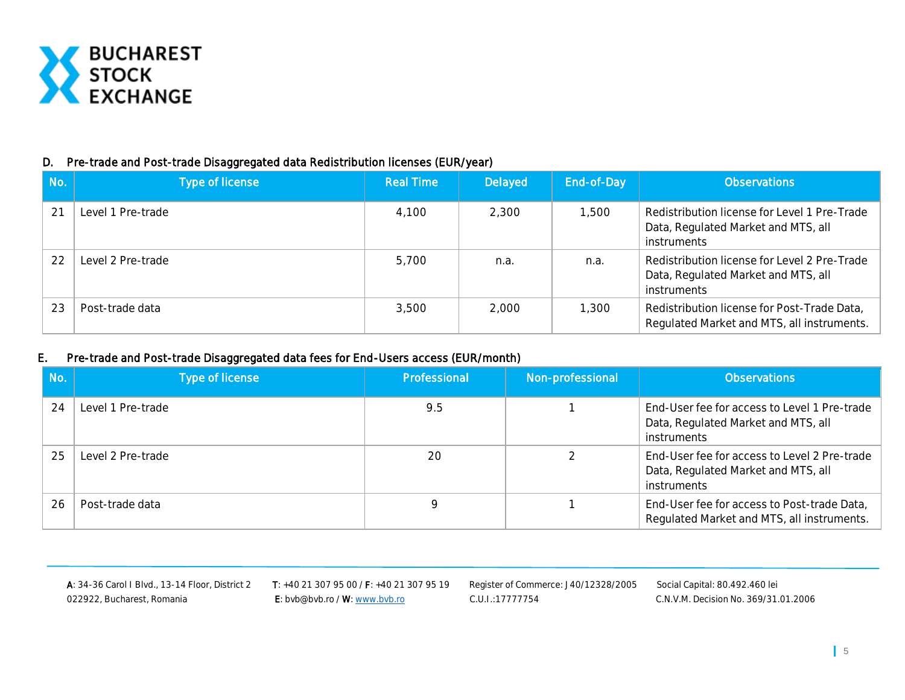

#### D. Pre-trade and Post-trade Disaggregated data Redistribution licenses (EUR/year)

| No. | Type of license   | <b>Real Time</b> | Delayed | End-of-Day | <b>Observations</b>                                                                                |
|-----|-------------------|------------------|---------|------------|----------------------------------------------------------------------------------------------------|
|     | evel 1 Pre-trade  | 4.100            | 2,300   | 1,500      | Redistribution license for Level 1 Pre-Trade<br>Data, Regulated Market and MTS, all<br>instruments |
| 22  | Level 2 Pre-trade | 5,700            | n.a.    | n.a.       | Redistribution license for Level 2 Pre-Trade<br>Data, Regulated Market and MTS, all<br>instruments |
|     | Post-trade data   | 3,500            | 2,000   | 1,300      | Redistribution license for Post-Trade Data,<br>Regulated Market and MTS, all instruments.          |

#### E. Pre-trade and Post-trade Disaggregated data fees for End-Users access (EUR/month)

| No. | Type of license   | Professional | Non-professional | <b>Observations</b>                                                                                |
|-----|-------------------|--------------|------------------|----------------------------------------------------------------------------------------------------|
| 24  | Level 1 Pre-trade | 9.5          |                  | End-User fee for access to Level 1 Pre-trade<br>Data, Regulated Market and MTS, all<br>instruments |
| 25  | Level 2 Pre-trade | 20           |                  | End-User fee for access to Level 2 Pre-trade<br>Data, Regulated Market and MTS, all<br>instruments |
| 26  | Post-trade data   |              |                  | End-User fee for access to Post-trade Data,<br>Regulated Market and MTS, all instruments.          |

022922, Bucharest, Romania **E:** bvb@bvb.ro / W[: www.bvb.ro](http://www.bvb.ro/) C.U.I.:17777754 C.N.V.M. Decision No. 369/31.01.2006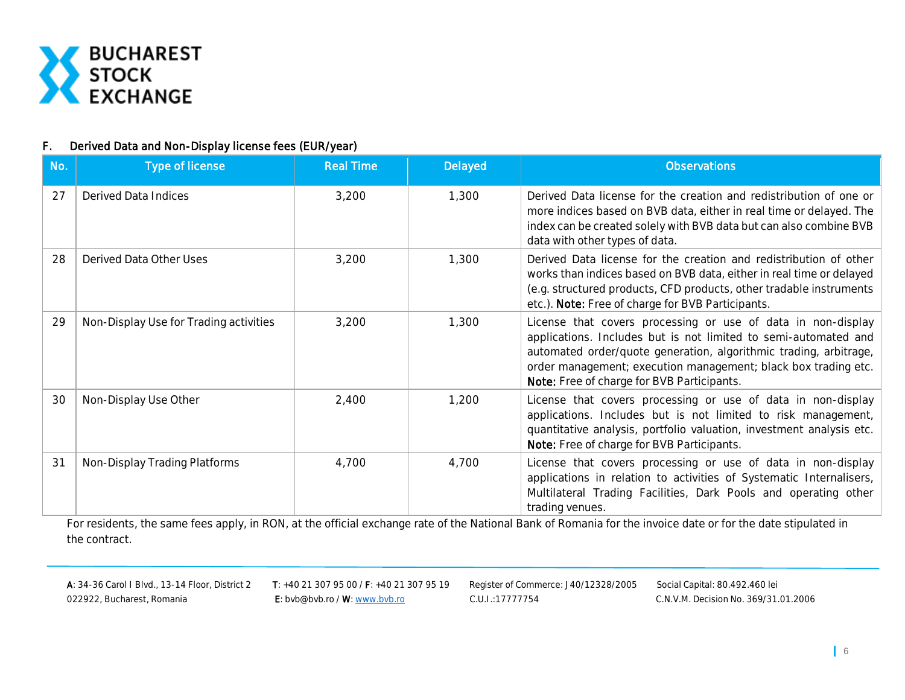

#### F. Derived Data and Non-Display license fees (EUR/year)

| No. | Type of license                        | <b>Real Time</b> | Delayed | <b>Observations</b>                                                                                                                                                                                                                                                                                                  |
|-----|----------------------------------------|------------------|---------|----------------------------------------------------------------------------------------------------------------------------------------------------------------------------------------------------------------------------------------------------------------------------------------------------------------------|
| 27  | <b>Derived Data Indices</b>            | 3,200            | 1,300   | Derived Data license for the creation and redistribution of one or<br>more indices based on BVB data, either in real time or delayed. The<br>index can be created solely with BVB data but can also combine BVB<br>data with other types of data.                                                                    |
| 28  | Derived Data Other Uses                | 3,200            | 1,300   | Derived Data license for the creation and redistribution of other<br>works than indices based on BVB data, either in real time or delayed<br>(e.g. structured products, CFD products, other tradable instruments<br>etc.). Note: Free of charge for BVB Participants.                                                |
| 29  | Non-Display Use for Trading activities | 3,200            | 1,300   | License that covers processing or use of data in non-display<br>applications. Includes but is not limited to semi-automated and<br>automated order/quote generation, algorithmic trading, arbitrage,<br>order management; execution management; black box trading etc.<br>Note: Free of charge for BVB Participants. |
| 30  | Non-Display Use Other                  | 2,400            | 1,200   | License that covers processing or use of data in non-display<br>applications. Includes but is not limited to risk management,<br>quantitative analysis, portfolio valuation, investment analysis etc.<br>Note: Free of charge for BVB Participants.                                                                  |
| 31  | Non-Display Trading Platforms          | 4,700            | 4,700   | License that covers processing or use of data in non-display<br>applications in relation to activities of Systematic Internalisers,<br>Multilateral Trading Facilities, Dark Pools and operating other<br>trading venues.                                                                                            |

For residents, the same fees apply, in RON, at the official exchange rate of the National Bank of Romania for the invoice date or for the date stipulated in the contract.

022922, Bucharest, Romania **E:** bvb@bvb.ro / W[: www.bvb.ro](http://www.bvb.ro/) C.U.I.:17777754 C.N.V.M. Decision No. 369/31.01.2006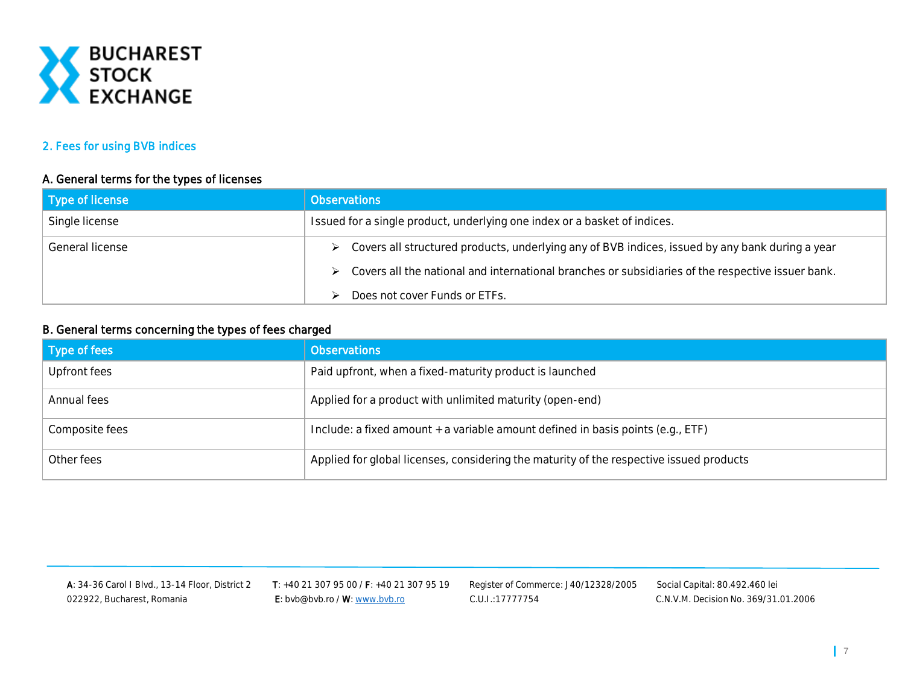

#### 2. Fees for using BVB indices

#### A. General terms for the types of licenses

| Type of license | <b>Observations</b>                                                                                                |  |
|-----------------|--------------------------------------------------------------------------------------------------------------------|--|
| Single license  | Issued for a single product, underlying one index or a basket of indices.                                          |  |
| General license | ► Covers all structured products, underlying any of BVB indices, issued by any bank during a year                  |  |
|                 | $\triangleright$ Covers all the national and international branches or subsidiaries of the respective issuer bank. |  |
|                 | Does not cover Funds or ETFs.                                                                                      |  |

#### B. General terms concerning the types of fees charged

| Type of fees   | <b>Observations</b>                                                                     |
|----------------|-----------------------------------------------------------------------------------------|
| Upfront fees   | Paid upfront, when a fixed-maturity product is launched                                 |
| Annual fees    | Applied for a product with unlimited maturity (open-end)                                |
| Composite fees | Include: a fixed amount + a variable amount defined in basis points (e.g., ETF)         |
| Other fees     | Applied for global licenses, considering the maturity of the respective issued products |

A: 34-36 Carol I Blvd., 13-14 Floor, District 2 T: +40 21 307 95 00 / F: +40 21 307 95 19 Register of Commerce: J40/12328/2005 Social Capital: 80.492.460 lei 022922, Bucharest, Romania **E:** bvb@bvb.ro / W[: www.bvb.ro](http://www.bvb.ro/) C.U.I.:17777754 C.N.V.M. Decision No. 369/31.01.2006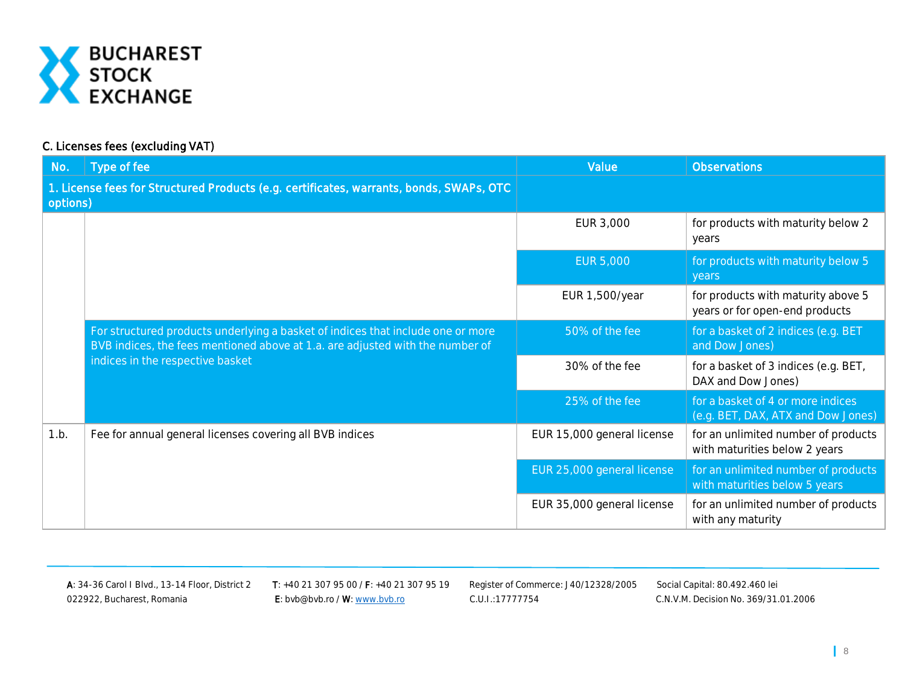

## C. Licenses fees (excluding VAT)

| No.      | Type of fee                                                                                                                                                                                          | Value                      | <b>Observations</b>                                                     |
|----------|------------------------------------------------------------------------------------------------------------------------------------------------------------------------------------------------------|----------------------------|-------------------------------------------------------------------------|
| options) | 1. License fees for Structured Products (e.g. certificates, warrants, bonds, SWAPs, OTC                                                                                                              |                            |                                                                         |
|          |                                                                                                                                                                                                      | EUR 3,000                  | for products with maturity below 2<br>years                             |
|          |                                                                                                                                                                                                      | <b>EUR 5,000</b>           | for products with maturity below 5<br>years                             |
|          |                                                                                                                                                                                                      | EUR 1,500/year             | for products with maturity above 5<br>years or for open-end products    |
|          | For structured products underlying a basket of indices that include one or more<br>BVB indices, the fees mentioned above at 1.a. are adjusted with the number of<br>indices in the respective basket | 50% of the fee             | for a basket of 2 indices (e.g. BET<br>and Dow Jones)                   |
|          |                                                                                                                                                                                                      | 30% of the fee             | for a basket of 3 indices (e.g. BET,<br>DAX and Dow Jones)              |
|          |                                                                                                                                                                                                      | 25% of the fee             | for a basket of 4 or more indices<br>(e.g. BET, DAX, ATX and Dow Jones) |
| 1.b.     | Fee for annual general licenses covering all BVB indices                                                                                                                                             | EUR 15,000 general license | for an unlimited number of products<br>with maturities below 2 years    |
|          |                                                                                                                                                                                                      | EUR 25,000 general license | for an unlimited number of products<br>with maturities below 5 years    |
|          |                                                                                                                                                                                                      | EUR 35,000 general license | for an unlimited number of products<br>with any maturity                |

022922, Bucharest, Romania **E:** bvb@bvb.ro / W[: www.bvb.ro](http://www.bvb.ro/) C.U.I.:17777754 C.N.V.M. Decision No. 369/31.01.2006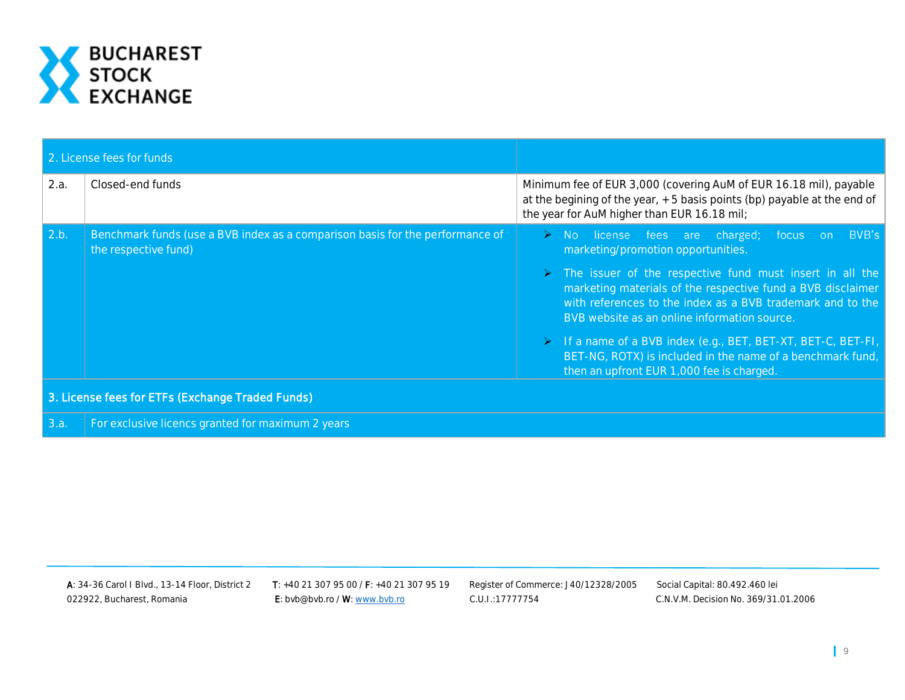

| 2. License fees for funds |                                                                                                       |                                                                                                                                                                                                                                                                                                                                                                                                                                                                                                                                             |  |  |
|---------------------------|-------------------------------------------------------------------------------------------------------|---------------------------------------------------------------------------------------------------------------------------------------------------------------------------------------------------------------------------------------------------------------------------------------------------------------------------------------------------------------------------------------------------------------------------------------------------------------------------------------------------------------------------------------------|--|--|
| 2.a.                      | Closed-end funds                                                                                      | Minimum fee of EUR 3,000 (covering AuM of EUR 16.18 mil), payable<br>at the begining of the year, +5 basis points (bp) payable at the end of<br>the year for AuM higher than EUR 16.18 mil;                                                                                                                                                                                                                                                                                                                                                 |  |  |
| $\vert 2.b. \vert$        | Benchmark funds (use a BVB index as a comparison basis for the performance of<br>the respective fund) | BVB's<br>$\triangleright$ No license fees are charged; focus on<br>marketing/promotion opportunities.<br>> The issuer of the respective fund must insert in all the<br>marketing materials of the respective fund a BVB disclaimer<br>with references to the index as a BVB trademark and to the<br>BVB website as an online information source.<br>$\triangleright$ If a name of a BVB index (e.g., BET, BET-XT, BET-C, BET-FI,<br>BET-NG, ROTX) is included in the name of a benchmark fund,<br>then an upfront EUR 1,000 fee is charged. |  |  |
|                           | 3. License fees for ETFs (Exchange Traded Funds)                                                      |                                                                                                                                                                                                                                                                                                                                                                                                                                                                                                                                             |  |  |
| 3.a.                      | For exclusive licencs granted for maximum 2 years                                                     |                                                                                                                                                                                                                                                                                                                                                                                                                                                                                                                                             |  |  |

022922, Bucharest, Romania **E:** bvb@bvb.ro / W[: www.bvb.ro](http://www.bvb.ro/) C.U.I.:17777754 C.N.V.M. Decision No. 369/31.01.2006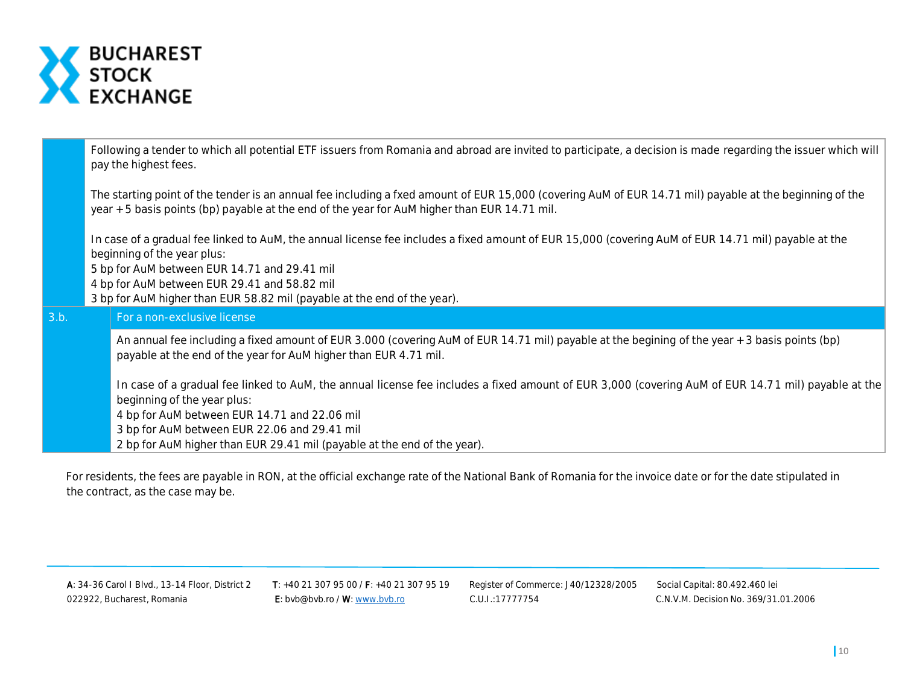

Following a tender to which all potential ETF issuers from Romania and abroad are invited to participate, a decision is made regarding the issuer which will pay the highest fees.

The starting point of the tender is an annual fee including a fxed amount of EUR 15,000 (covering AuM of EUR 14.71 mil) payable at the beginning of the year + 5 basis points (bp) payable at the end of the year for AuM higher than EUR 14.71 mil.

In case of a gradual fee linked to AuM, the annual license fee includes a fixed amount of EUR 15,000 (covering AuM of EUR 14.71 mil) payable at the beginning of the year plus:

5 bp for AuM between EUR 14.71 and 29.41 mil

4 bp for AuM between EUR 29.41 and 58.82 mil

3 bp for AuM higher than EUR 58.82 mil (payable at the end of the year).

# 3.b. For a non-exclusive license

An annual fee including a fixed amount of EUR 3.000 (covering AuM of EUR 14.71 mil) payable at the begining of the year + 3 basis points (bp) payable at the end of the year for AuM higher than EUR 4.71 mil.

In case of a gradual fee linked to AuM, the annual license fee includes a fixed amount of EUR 3,000 (covering AuM of EUR 14.71 mil) payable at the beginning of the year plus: 4 bp for AuM between EUR 14.71 and 22.06 mil

3 bp for AuM between EUR 22.06 and 29.41 mil

2 bp for AuM higher than EUR 29.41 mil (payable at the end of the year).

For residents, the fees are payable in RON, at the official exchange rate of the National Bank of Romania for the invoice date or for the date stipulated in the contract, as the case may be.

A: 34-36 Carol I Blvd., 13-14 Floor, District 2 T: +40 21 307 95 00 / F: +40 21 307 95 19 Register of Commerce: J40/12328/2005 Social Capital: 80.492.460 lei 022922, Bucharest, Romania **E:** bvb@bvb.ro / W[: www.bvb.ro](http://www.bvb.ro/) C.U.I.:17777754 C.N.V.M. Decision No. 369/31.01.2006